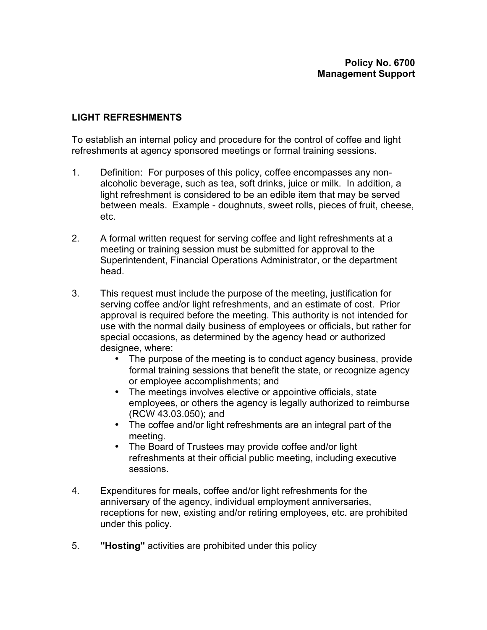## **LIGHT REFRESHMENTS**

To establish an internal policy and procedure for the control of coffee and light refreshments at agency sponsored meetings or formal training sessions.

- 1. Definition: For purposes of this policy, coffee encompasses any nonalcoholic beverage, such as tea, soft drinks, juice or milk. In addition, a light refreshment is considered to be an edible item that may be served between meals. Example - doughnuts, sweet rolls, pieces of fruit, cheese, etc.
- 2. A formal written request for serving coffee and light refreshments at a meeting or training session must be submitted for approval to the Superintendent, Financial Operations Administrator, or the department head.
- 3. This request must include the purpose of the meeting, justification for serving coffee and/or light refreshments, and an estimate of cost. Prior approval is required before the meeting. This authority is not intended for use with the normal daily business of employees or officials, but rather for special occasions, as determined by the agency head or authorized designee, where:

The purpose of the meeting is to conduct agency business, provide formal training sessions that benefit the state, or recognize agency or employee accomplishments; and

The meetings involves elective or appointive officials, state employees, or others the agency is legally authorized to reimburse (RCW 43.03.050); and

The coffee and/or light refreshments are an integral part of the meeting.

The Board of Trustees may provide coffee and/or light refreshments at their official public meeting, including executive sessions.

- 4. Expenditures for meals, coffee and/or light refreshments for the anniversary of the agency, individual employment anniversaries, receptions for new, existing and/or retiring employees, etc. are prohibited under this policy.
- 5. **"Hosting"** activities are prohibited under this policy